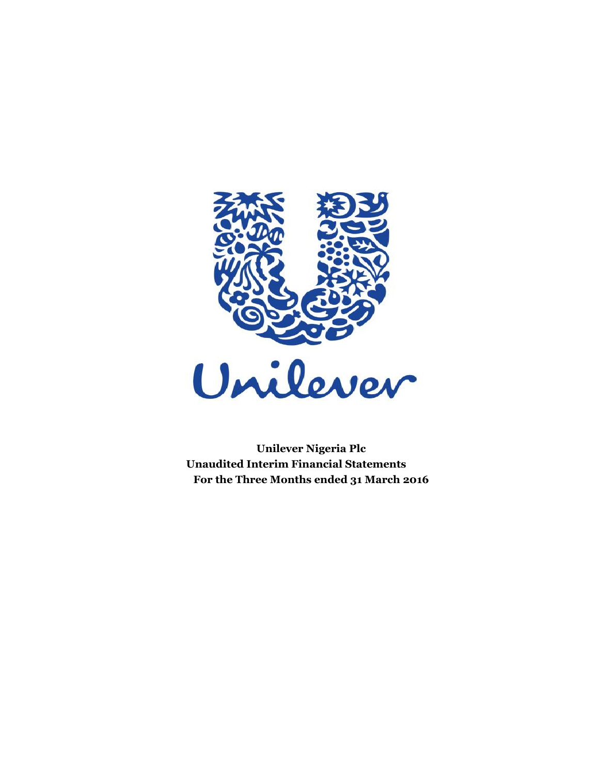

 **Unilever Nigeria Plc Unaudited Interim Financial Statements For the Three Months ended 31 March 2016**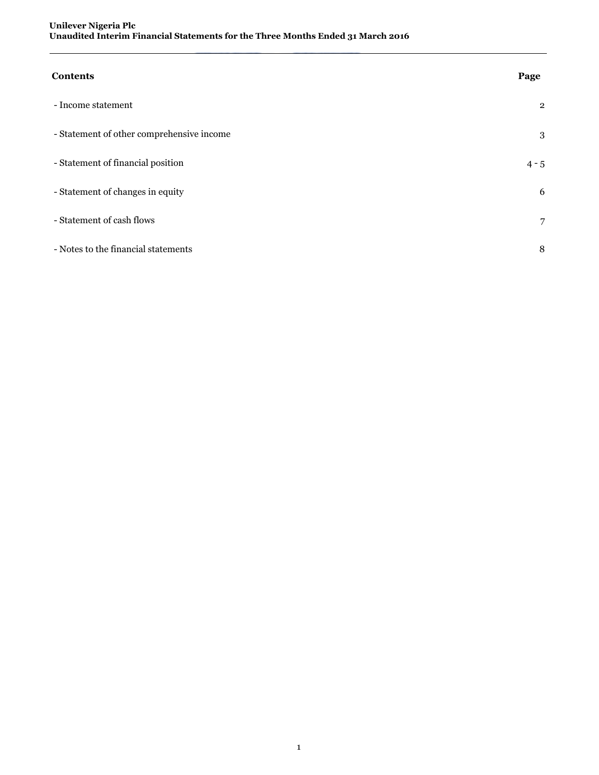| <b>Contents</b>                           | Page           |
|-------------------------------------------|----------------|
| - Income statement                        | $\overline{2}$ |
| - Statement of other comprehensive income | 3              |
| - Statement of financial position         | $4 - 5$        |
| - Statement of changes in equity          | 6              |
| - Statement of cash flows                 | 7              |
| - Notes to the financial statements       | 8              |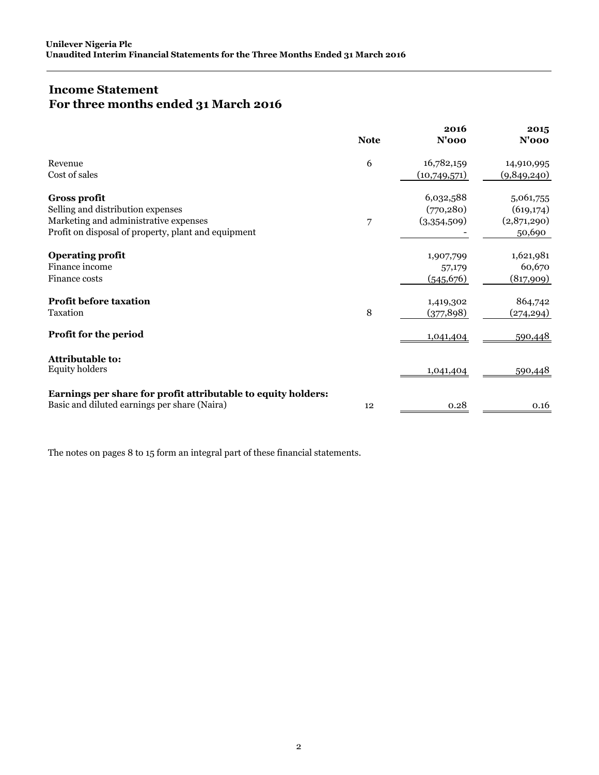# **Income Statement For three months ended 31 March 2016**

|                                                                                                               | <b>Note</b> | 2016<br>$N'$ 000 | 2015<br>$N'$ 000 |
|---------------------------------------------------------------------------------------------------------------|-------------|------------------|------------------|
| Revenue                                                                                                       | 6           | 16,782,159       | 14,910,995       |
| Cost of sales                                                                                                 |             | (10,749,571)     | (9,849,240)      |
| <b>Gross profit</b>                                                                                           |             | 6,032,588        | 5,061,755        |
| Selling and distribution expenses                                                                             |             | (770, 280)       | (619, 174)       |
| Marketing and administrative expenses                                                                         | 7           | (3,354,509)      | (2,871,290)      |
| Profit on disposal of property, plant and equipment                                                           |             |                  | 50,690           |
| <b>Operating profit</b>                                                                                       |             | 1,907,799        | 1,621,981        |
| Finance income                                                                                                |             | 57,179           | 60,670           |
| Finance costs                                                                                                 |             | (545, 676)       | (817,909)        |
| <b>Profit before taxation</b>                                                                                 |             | 1,419,302        | 864,742          |
| Taxation                                                                                                      | 8           | (377, 898)       | (274, 294)       |
| Profit for the period                                                                                         |             | 1,041,404        | 590,448          |
| Attributable to:                                                                                              |             |                  |                  |
| <b>Equity holders</b>                                                                                         |             | 1,041,404        | 590,448          |
| Earnings per share for profit attributable to equity holders:<br>Basic and diluted earnings per share (Naira) | 12          | 0.28             | 0.16             |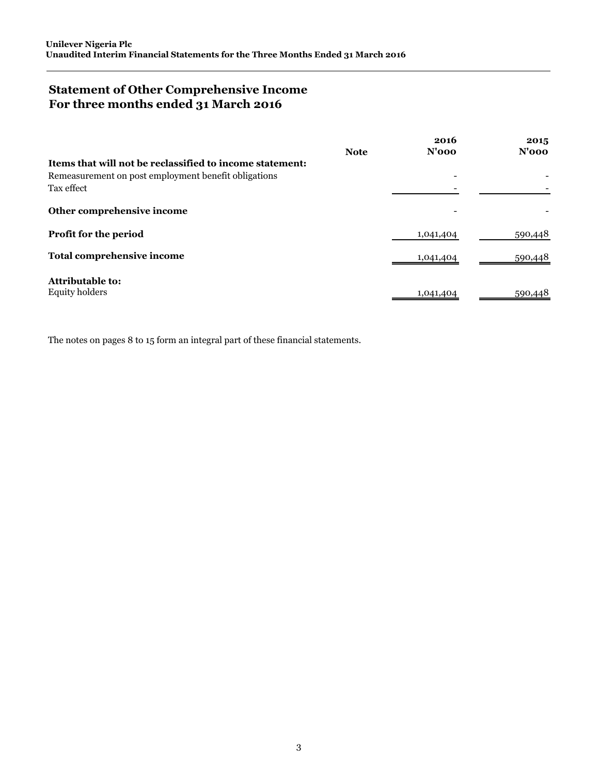# **Statement of Other Comprehensive Income For three months ended 31 March 2016**

|                                                          | <b>Note</b> | 2016<br>$N'$ 000 | 2015<br>$N'$ 000 |
|----------------------------------------------------------|-------------|------------------|------------------|
| Items that will not be reclassified to income statement: |             |                  |                  |
| Remeasurement on post employment benefit obligations     |             |                  |                  |
| Tax effect                                               |             |                  |                  |
| Other comprehensive income                               |             |                  |                  |
| Profit for the period                                    |             | 1,041,404        | 590,448          |
| <b>Total comprehensive income</b>                        |             | 1,041,404        | 590,448          |
| <b>Attributable to:</b>                                  |             |                  |                  |
| <b>Equity holders</b>                                    |             | 1,041,404        | 590,448          |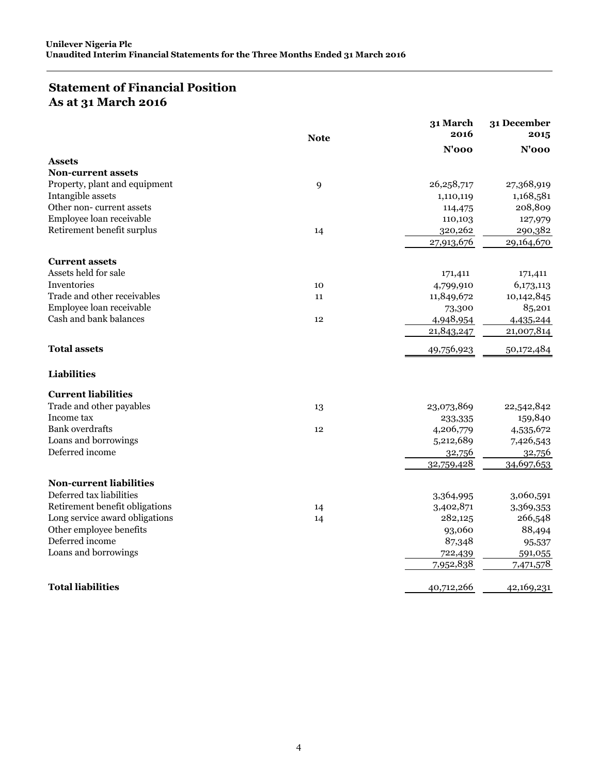## **Statement of Financial Position As at 31 March 2016**

|                                |             | 31 March     | 31 December |
|--------------------------------|-------------|--------------|-------------|
|                                | <b>Note</b> | 2016         | 2015        |
|                                |             | $N'$ 000     | $N'$ 000    |
| <b>Assets</b>                  |             |              |             |
| <b>Non-current assets</b>      |             |              |             |
| Property, plant and equipment  | 9           | 26, 258, 717 | 27,368,919  |
| Intangible assets              |             | 1,110,119    | 1,168,581   |
| Other non-current assets       |             | 114,475      | 208,809     |
| Employee loan receivable       |             | 110,103      | 127,979     |
| Retirement benefit surplus     | 14          | 320,262      | 290,382     |
|                                |             | 27,913,676   | 29,164,670  |
| <b>Current assets</b>          |             |              |             |
| Assets held for sale           |             | 171,411      | 171,411     |
| Inventories                    | 10          | 4,799,910    | 6,173,113   |
| Trade and other receivables    | 11          | 11,849,672   | 10,142,845  |
| Employee loan receivable       |             | 73,300       | 85,201      |
| Cash and bank balances         | 12          | 4,948,954    | 4,435,244   |
|                                |             | 21,843,247   | 21,007,814  |
| <b>Total assets</b>            |             | 49,756,923   | 50,172,484  |
| Liabilities                    |             |              |             |
| <b>Current liabilities</b>     |             |              |             |
| Trade and other payables       | 13          | 23,073,869   | 22,542,842  |
| Income tax                     |             | 233,335      | 159,840     |
| <b>Bank</b> overdrafts         | 12          | 4,206,779    | 4,535,672   |
| Loans and borrowings           |             | 5,212,689    | 7,426,543   |
| Deferred income                |             | 32,756       | 32,756      |
|                                |             | 32,759,428   | 34,697,653  |
| <b>Non-current liabilities</b> |             |              |             |
| Deferred tax liabilities       |             | 3,364,995    | 3,060,591   |
| Retirement benefit obligations | 14          | 3,402,871    | 3,369,353   |
| Long service award obligations | 14          | 282,125      | 266,548     |
| Other employee benefits        |             | 93,060       | 88,494      |
| Deferred income                |             | 87,348       | 95,537      |
| Loans and borrowings           |             | 722,439      | 591,055     |
|                                |             | 7,952,838    | 7,471,578   |
| <b>Total liabilities</b>       |             | 40,712,266   | 42,169,231  |
|                                |             |              |             |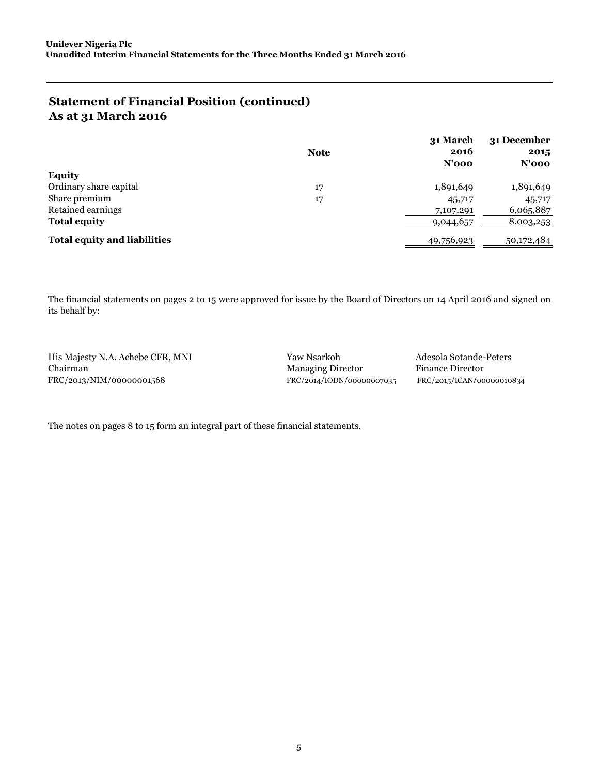## **Statement of Financial Position (continued) As at 31 March 2016**

|                                     | <b>Note</b> | 31 March<br>2016<br>$N'$ 000 | 31 December<br>2015<br>N'ooo |
|-------------------------------------|-------------|------------------------------|------------------------------|
| <b>Equity</b>                       |             |                              |                              |
| Ordinary share capital              | 17          | 1,891,649                    | 1,891,649                    |
| Share premium                       | 17          | 45,717                       | 45,717                       |
| Retained earnings                   |             | 7,107,291                    | 6,065,887                    |
| <b>Total equity</b>                 |             | 9,044,657                    | 8,003,253                    |
| <b>Total equity and liabilities</b> |             | 49,756,923                   | 50,172,484                   |

The financial statements on pages 2 to 15 were approved for issue by the Board of Directors on 14 April 2016 and signed on its behalf by:

His Majesty N.A. Achebe CFR, MNI Yaw Nsarkoh Adesola Sotande-Peters Chairman Managing Director Finance Director FRC/2013/NIM/00000001568 FRC/2014/IODN/00000007035 FRC/2015/ICAN/00000010834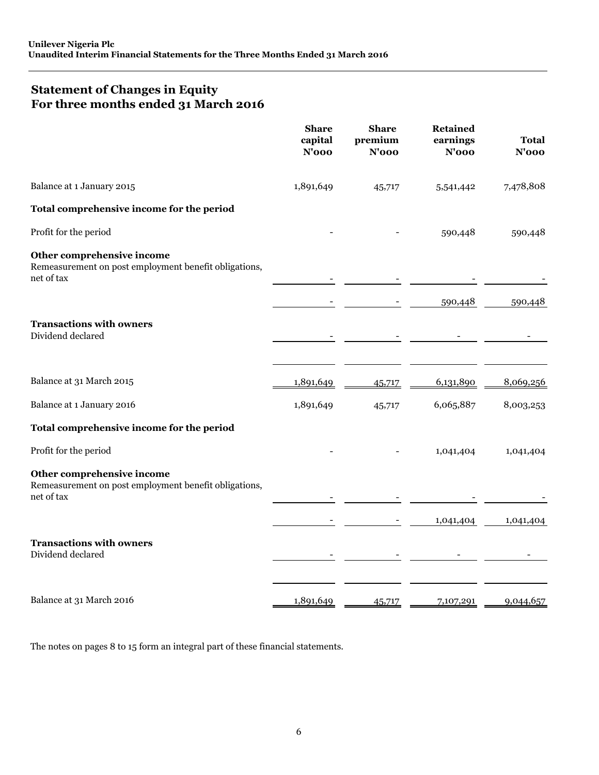# **Statement of Changes in Equity For three months ended 31 March 2016**

|                                                                                                   | <b>Share</b><br>capital<br>$N'$ 000 | <b>Share</b><br>premium<br>$N'$ 000 | <b>Retained</b><br>earnings<br>$N'$ 000 | Total<br>$N'$ 000 |
|---------------------------------------------------------------------------------------------------|-------------------------------------|-------------------------------------|-----------------------------------------|-------------------|
| Balance at 1 January 2015                                                                         | 1,891,649                           | 45,717                              | 5,541,442                               | 7,478,808         |
| Total comprehensive income for the period                                                         |                                     |                                     |                                         |                   |
| Profit for the period                                                                             |                                     |                                     | 590,448                                 | 590,448           |
| Other comprehensive income<br>Remeasurement on post employment benefit obligations,<br>net of tax |                                     |                                     |                                         |                   |
|                                                                                                   |                                     |                                     | 590,448                                 | 590,448           |
| <b>Transactions with owners</b><br>Dividend declared                                              |                                     |                                     |                                         |                   |
| Balance at 31 March 2015                                                                          | 1,891,649                           | 45,717                              | 6,131,890                               | 8,069,256         |
| Balance at 1 January 2016                                                                         | 1,891,649                           | 45,717                              | 6,065,887                               | 8,003,253         |
| Total comprehensive income for the period                                                         |                                     |                                     |                                         |                   |
| Profit for the period                                                                             |                                     |                                     | 1,041,404                               | 1,041,404         |
| Other comprehensive income<br>Remeasurement on post employment benefit obligations,<br>net of tax |                                     |                                     |                                         |                   |
|                                                                                                   |                                     |                                     | 1,041,404                               | 1,041,404         |
| <b>Transactions with owners</b><br>Dividend declared                                              |                                     |                                     |                                         |                   |
| Balance at 31 March 2016                                                                          | 1,891,649                           | 45,717                              | 7,107,291                               | 9,044,657         |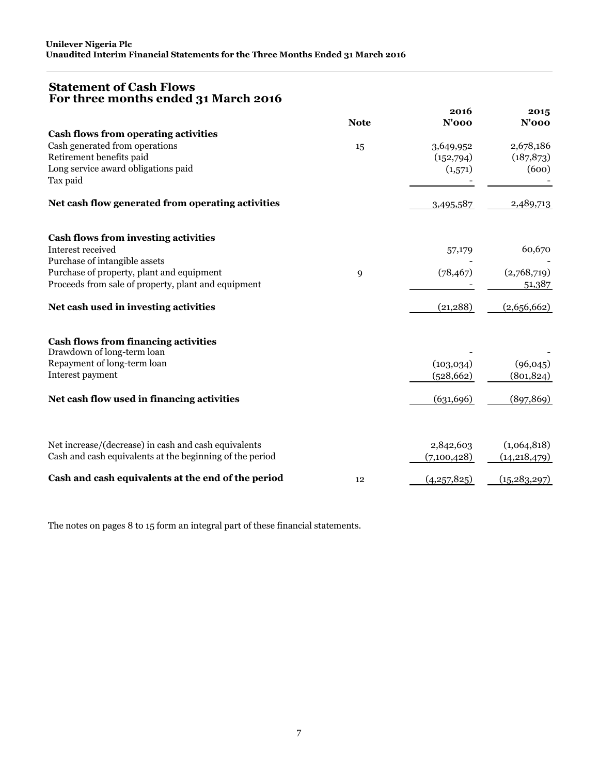## **Statement of Cash Flows For three months ended 31 March 2016**

|                                                                           | <b>Note</b> | 2016<br>$N'$ 000 | 2015<br>$N'$ 000 |
|---------------------------------------------------------------------------|-------------|------------------|------------------|
| <b>Cash flows from operating activities</b>                               |             |                  |                  |
| Cash generated from operations                                            | 15          | 3,649,952        | 2,678,186        |
| Retirement benefits paid                                                  |             | (152,794)        | (187, 873)       |
| Long service award obligations paid                                       |             | (1,571)          | (600)            |
| Tax paid                                                                  |             |                  |                  |
| Net cash flow generated from operating activities                         |             | 3,495,587        | 2,489,713        |
| <b>Cash flows from investing activities</b>                               |             |                  |                  |
| Interest received                                                         |             | 57,179           | 60,670           |
| Purchase of intangible assets                                             |             |                  |                  |
| Purchase of property, plant and equipment                                 | 9           | (78, 467)        | (2,768,719)      |
| Proceeds from sale of property, plant and equipment                       |             |                  | 51,387           |
| Net cash used in investing activities                                     |             | (21, 288)        | (2,656,662)      |
| <b>Cash flows from financing activities</b><br>Drawdown of long-term loan |             |                  |                  |
| Repayment of long-term loan                                               |             | (103, 034)       | (96, 045)        |
| Interest payment                                                          |             | (528, 662)       | (801, 824)       |
|                                                                           |             |                  |                  |
| Net cash flow used in financing activities                                |             | (631, 696)       | (897, 869)       |
|                                                                           |             |                  |                  |
| Net increase/(decrease) in cash and cash equivalents                      |             | 2,842,603        | (1,064,818)      |
| Cash and cash equivalents at the beginning of the period                  |             | (7,100,428)      | (14, 218, 479)   |
| Cash and cash equivalents at the end of the period                        | 12          | (4,257,825)      | (15, 283, 297)   |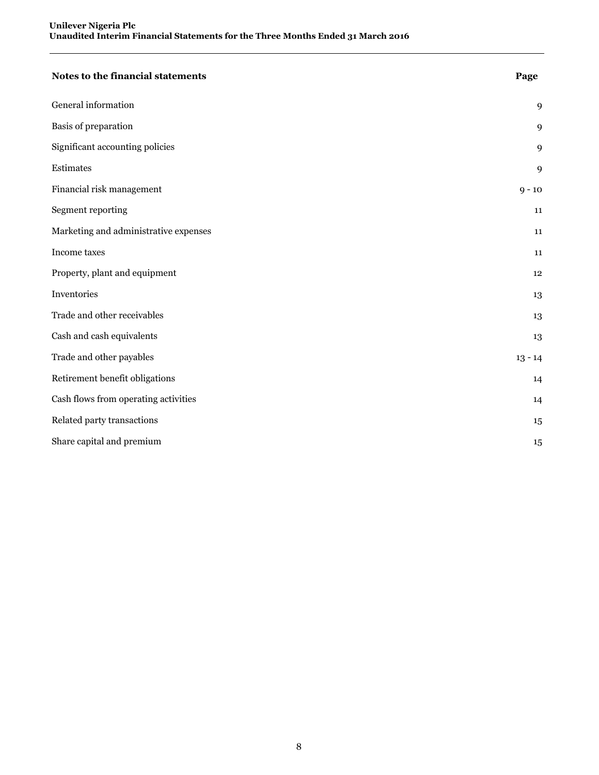| Notes to the financial statements     | Page      |
|---------------------------------------|-----------|
| General information                   | 9         |
| Basis of preparation                  | 9         |
| Significant accounting policies       | 9         |
| Estimates                             | 9         |
| Financial risk management             | $9 - 10$  |
| Segment reporting                     | 11        |
| Marketing and administrative expenses | 11        |
| Income taxes                          | 11        |
| Property, plant and equipment         | 12        |
| Inventories                           | 13        |
| Trade and other receivables           | 13        |
| Cash and cash equivalents             | 13        |
| Trade and other payables              | $13 - 14$ |
| Retirement benefit obligations        | 14        |
| Cash flows from operating activities  | 14        |
| Related party transactions            | 15        |
| Share capital and premium             | 15        |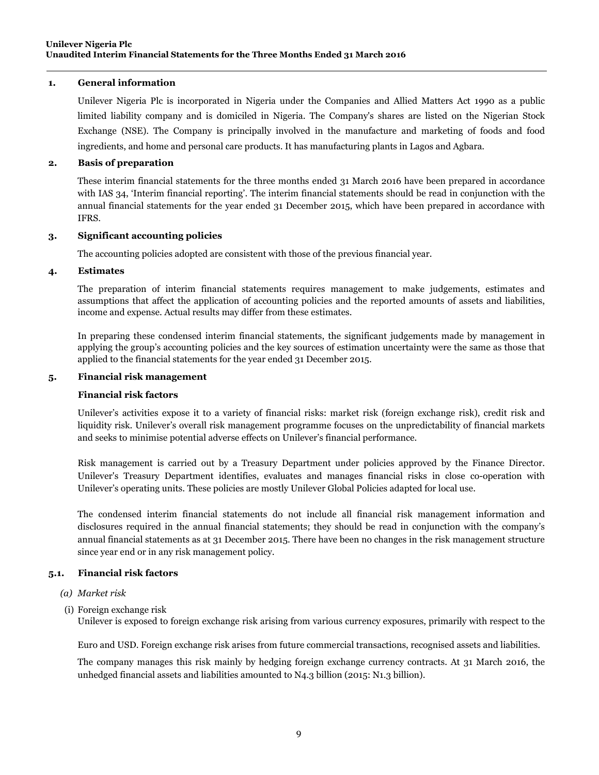### **1. General information**

Unilever Nigeria Plc is incorporated in Nigeria under the Companies and Allied Matters Act 1990 as a public limited liability company and is domiciled in Nigeria. The Company's shares are listed on the Nigerian Stock Exchange (NSE). The Company is principally involved in the manufacture and marketing of foods and food ingredients, and home and personal care products. It has manufacturing plants in Lagos and Agbara.

### **2. Basis of preparation**

These interim financial statements for the three months ended 31 March 2016 have been prepared in accordance with IAS 34, 'Interim financial reporting'. The interim financial statements should be read in conjunction with the annual financial statements for the year ended 31 December 2015, which have been prepared in accordance with IFRS.

### **3. Significant accounting policies**

The accounting policies adopted are consistent with those of the previous financial year.

### **4. Estimates**

The preparation of interim financial statements requires management to make judgements, estimates and assumptions that affect the application of accounting policies and the reported amounts of assets and liabilities, income and expense. Actual results may differ from these estimates.

In preparing these condensed interim financial statements, the significant judgements made by management in applying the group's accounting policies and the key sources of estimation uncertainty were the same as those that applied to the financial statements for the year ended 31 December 2015.

### **5. Financial risk management**

### **Financial risk factors**

Unilever's activities expose it to a variety of financial risks: market risk (foreign exchange risk), credit risk and liquidity risk. Unilever's overall risk management programme focuses on the unpredictability of financial markets and seeks to minimise potential adverse effects on Unilever's financial performance.

Risk management is carried out by a Treasury Department under policies approved by the Finance Director. Unilever's Treasury Department identifies, evaluates and manages financial risks in close co-operation with Unilever's operating units. These policies are mostly Unilever Global Policies adapted for local use.

The condensed interim financial statements do not include all financial risk management information and disclosures required in the annual financial statements; they should be read in conjunction with the company's annual financial statements as at 31 December 2015. There have been no changes in the risk management structure since year end or in any risk management policy.

### **5.1. Financial risk factors**

### *(a) Market risk*

(i) Foreign exchange risk

Unilever is exposed to foreign exchange risk arising from various currency exposures, primarily with respect to the

Euro and USD. Foreign exchange risk arises from future commercial transactions, recognised assets and liabilities.

The company manages this risk mainly by hedging foreign exchange currency contracts. At 31 March 2016, the unhedged financial assets and liabilities amounted to N4.3 billion (2015: N1.3 billion).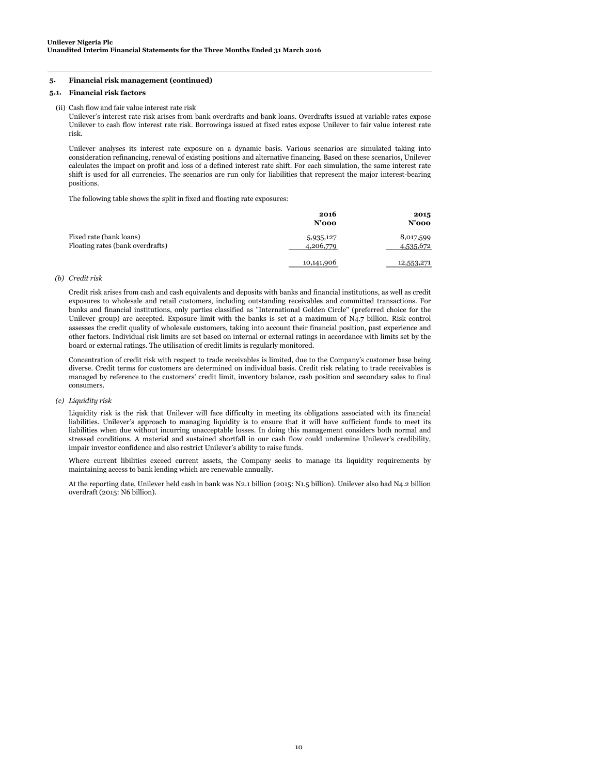#### **5. Financial risk management (continued)**

#### **5.1. Financial risk factors**

(ii) Cash flow and fair value interest rate risk

Unilever's interest rate risk arises from bank overdrafts and bank loans. Overdrafts issued at variable rates expose Unilever to cash flow interest rate risk. Borrowings issued at fixed rates expose Unilever to fair value interest rate risk.

Unilever analyses its interest rate exposure on a dynamic basis. Various scenarios are simulated taking into consideration refinancing, renewal of existing positions and alternative financing. Based on these scenarios, Unilever calculates the impact on profit and loss of a defined interest rate shift. For each simulation, the same interest rate shift is used for all currencies. The scenarios are run only for liabilities that represent the major interest-bearing positions.

The following table shows the split in fixed and floating rate exposures:

|                                                             | 2016<br>$N'$ 000       | 2015<br>$N'$ 000       |
|-------------------------------------------------------------|------------------------|------------------------|
| Fixed rate (bank loans)<br>Floating rates (bank overdrafts) | 5,935,127<br>4,206,779 | 8,017,599<br>4,535,672 |
|                                                             | 10,141,906             | 12,553,271             |

#### *(b) Credit risk*

Credit risk arises from cash and cash equivalents and deposits with banks and financial institutions, as well as credit exposures to wholesale and retail customers, including outstanding receivables and committed transactions. For banks and financial institutions, only parties classified as "International Golden Circle" (preferred choice for the Unilever group) are accepted. Exposure limit with the banks is set at a maximum of N4.7 billion. Risk control assesses the credit quality of wholesale customers, taking into account their financial position, past experience and other factors. Individual risk limits are set based on internal or external ratings in accordance with limits set by the board or external ratings. The utilisation of credit limits is regularly monitored.

Concentration of credit risk with respect to trade receivables is limited, due to the Company's customer base being diverse. Credit terms for customers are determined on individual basis. Credit risk relating to trade receivables is managed by reference to the customers' credit limit, inventory balance, cash position and secondary sales to final consumers.

#### *(c) Liquidity risk*

Liquidity risk is the risk that Unilever will face difficulty in meeting its obligations associated with its financial liabilities. Unilever's approach to managing liquidity is to ensure that it will have sufficient funds to meet its liabilities when due without incurring unacceptable losses. In doing this management considers both normal and stressed conditions. A material and sustained shortfall in our cash flow could undermine Unilever's credibility, impair investor confidence and also restrict Unilever's ability to raise funds.

Where current libilities exceed current assets, the Company seeks to manage its liquidity requirements by maintaining access to bank lending which are renewable annually.

At the reporting date, Unilever held cash in bank was N2.1 billion (2015: N1.5 billion). Unilever also had N4.2 billion overdraft (2015: N6 billion).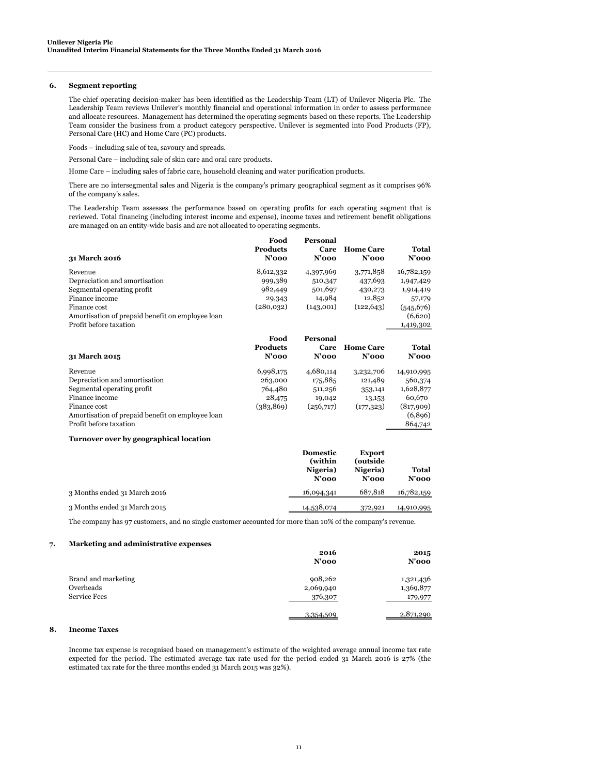#### **6. Segment reporting**

The chief operating decision-maker has been identified as the Leadership Team (LT) of Unilever Nigeria Plc. The Leadership Team reviews Unilever's monthly financial and operational information in order to assess performance and allocate resources. Management has determined the operating segments based on these reports. The Leadership Team consider the business from a product category perspective. Unilever is segmented into Food Products (FP), Personal Care (HC) and Home Care (PC) products.

Foods – including sale of tea, savoury and spreads.

Personal Care – including sale of skin care and oral care products.

Home Care – including sales of fabric care, household cleaning and water purification products.

There are no intersegmental sales and Nigeria is the company's primary geographical segment as it comprises 96% of the company's sales.

The Leadership Team assesses the performance based on operating profits for each operating segment that is reviewed. Total financing (including interest income and expense), income taxes and retirement benefit obligations are managed on an entity-wide basis and are not allocated to operating segments.

 **Food** 

 **Personal** 

| 31 March 2016                                    | rvvu<br><b>Products</b><br>$N'$ 000 | 1 сгэонаг<br>Care<br>$N'$ 000 | <b>Home Care</b><br>$N'$ 000 | Total<br>$N'$ 000        |
|--------------------------------------------------|-------------------------------------|-------------------------------|------------------------------|--------------------------|
| Revenue                                          | 8,612,332                           | 4,397,969                     | 3,771,858                    | 16,782,159               |
| Depreciation and amortisation                    | 999,389                             | 510,347                       | 437,693                      | 1,947,429                |
| Segmental operating profit                       | 982,449                             | 501,697                       | 430,273                      | 1,914,419                |
| Finance income                                   | 29,343                              | 14,984                        | 12,852                       | 57,179                   |
| Finance cost                                     | (280,032)                           | (143,001)                     | (122, 643)                   | (545, 676)               |
| Amortisation of prepaid benefit on employee loan |                                     |                               |                              | (6,620)                  |
| Profit before taxation                           |                                     |                               |                              | 1,419,302                |
| 31 March 2015                                    | Food<br><b>Products</b><br>$N'$ 000 | Personal<br>Care<br>$N'$ 000  | <b>Home Care</b><br>$N'$ 000 | <b>Total</b><br>$N'$ 000 |
| Revenue                                          | 6,998,175                           | 4,680,114                     | 3,232,706                    | 14,910,995               |
| Depreciation and amortisation                    | 263,000                             | 175,885                       | 121,489                      | 560,374                  |
| Segmental operating profit                       | 764,480                             | 511,256                       | 353,141                      | 1,628,877                |
| Finance income                                   | 28,475                              | 19,042                        | 13,153                       | 60,670                   |
| Finance cost                                     | (383, 869)                          | (256,717)                     | (177, 323)                   | (817,909)                |
| Amortisation of prepaid benefit on employee loan |                                     |                               |                              | (6,896)                  |
| Profit before taxation                           |                                     |                               |                              | 864,742                  |
| Turnover over by geographical location           |                                     |                               |                              |                          |

|                              | <b>Domestic</b><br>(within)<br>Nigeria)<br>$N'$ 000 | <b>Export</b><br>(outside)<br>Nigeria)<br>$N'$ 000 | Total<br>$N'$ 000 |
|------------------------------|-----------------------------------------------------|----------------------------------------------------|-------------------|
| 3 Months ended 31 March 2016 | 16,094,341                                          | 687,818                                            | 16,782,159        |
| 3 Months ended 31 March 2015 | 14,538,074                                          | 372,921                                            | 14,910,995        |

The company has 97 customers, and no single customer accounted for more than 10% of the company's revenue.

#### **7. Marketing and administrative expenses**

|                                  | 2016<br>$N'$ 000     | 2015<br>$N'$ 000       |
|----------------------------------|----------------------|------------------------|
| Brand and marketing<br>Overheads | 908,262<br>2,069,940 | 1,321,436<br>1,369,877 |
| <b>Service Fees</b>              | 376,307<br>3,354,509 | 179,977<br>2,871,290   |

#### **8. Income Taxes**

Income tax expense is recognised based on management's estimate of the weighted average annual income tax rate expected for the period. The estimated average tax rate used for the period ended 31 March 2016 is 27% (the estimated tax rate for the three months ended 31 March 2015 was 32%).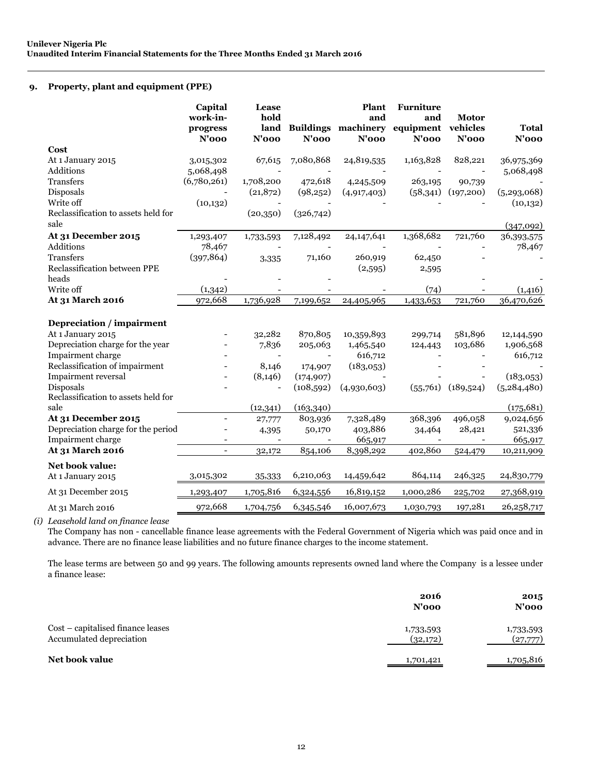### **9. Property, plant and equipment (PPE)**

|                                                  | Capital<br>work-in-<br>progress<br>$N'$ 000 | <b>Lease</b><br>hold<br>land<br>$N'$ 000 | $N'$ 000   | <b>Plant</b><br>and<br><b>Buildings machinery</b><br>$N'$ 000 | <b>Furniture</b><br>and<br>equipment vehicles<br>$N'$ 000 | <b>Motor</b><br>$N'$ 000 | <b>Total</b><br>$N'$ 000   |
|--------------------------------------------------|---------------------------------------------|------------------------------------------|------------|---------------------------------------------------------------|-----------------------------------------------------------|--------------------------|----------------------------|
| Cost                                             |                                             |                                          |            |                                                               |                                                           |                          |                            |
| At 1 January 2015<br>Additions                   | 3,015,302<br>5,068,498                      | 67,615                                   | 7,080,868  | 24,819,535                                                    | 1,163,828                                                 | 828,221                  | 36,975,369<br>5,068,498    |
| <b>Transfers</b>                                 | (6,780,261)                                 | 1,708,200                                | 472,618    | 4,245,509                                                     | 263,195                                                   | 90,739                   |                            |
| Disposals<br>Write off                           | (10, 132)                                   | (21, 872)                                | (98,252)   | (4,917,403)                                                   | (58,341)                                                  | (197,200)                | (5, 293, 068)<br>(10, 132) |
| Reclassification to assets held for<br>sale      |                                             | (20,350)                                 | (326,742)  |                                                               |                                                           |                          | (347,092)                  |
| At 31 December 2015<br>Additions                 | 1,293,407<br>78,467                         | 1,733,593                                | 7,128,492  | 24,147,641                                                    | 1,368,682                                                 | 721,760                  | 36,393,575<br>78,467       |
| <b>Transfers</b><br>Reclassification between PPE | (397, 864)                                  | 3,335                                    | 71,160     | 260,919<br>(2,595)                                            | 62,450<br>2,595                                           |                          |                            |
| heads                                            |                                             |                                          |            |                                                               |                                                           |                          |                            |
| Write off                                        | (1,342)                                     |                                          |            |                                                               | (74)                                                      |                          | (1,416)                    |
| At 31 March 2016                                 | 972,668                                     | 1,736,928                                | 7,199,652  | 24,405,965                                                    | 1,433,653                                                 | 721,760                  | 36,470,626                 |
| Depreciation / impairment                        |                                             |                                          |            |                                                               |                                                           |                          |                            |
| At 1 January 2015                                |                                             | 32,282                                   | 870,805    | 10,359,893                                                    | 299,714                                                   | 581,896                  | 12,144,590                 |
| Depreciation charge for the year                 |                                             | 7,836                                    | 205,063    | 1,465,540                                                     | 124,443                                                   | 103,686                  | 1,906,568                  |
| Impairment charge                                |                                             |                                          |            | 616,712                                                       |                                                           |                          | 616,712                    |
| Reclassification of impairment                   |                                             | 8,146                                    | 174,907    | (183,053)                                                     |                                                           |                          |                            |
| Impairment reversal                              |                                             | (8, 146)                                 | (174, 907) |                                                               |                                                           |                          | (183,053)                  |
| Disposals<br>Reclassification to assets held for |                                             |                                          | (108, 592) | (4,930,603)                                                   | (55,761)                                                  | (189, 524)               | (5,284,480)                |
| sale                                             |                                             | (12, 341)                                | (163, 340) |                                                               |                                                           |                          | (175, 681)                 |
| At 31 December 2015                              |                                             | 27,777                                   | 803,936    | 7,328,489                                                     | 368,396                                                   | 496,058                  | 9,024,656                  |
| Depreciation charge for the period               |                                             | 4,395                                    | 50,170     | 403,886                                                       | 34,464                                                    | 28,421                   | 521,336                    |
| Impairment charge                                |                                             |                                          |            | 665,917                                                       |                                                           |                          | 665,917                    |
| At 31 March 2016                                 | $\overline{a}$                              | 32,172                                   | 854,106    | 8,398,292                                                     | 402,860                                                   | 524,479                  | 10,211,909                 |
| <b>Net book value:</b><br>At 1 January 2015      | 3,015,302                                   | 35,333                                   | 6,210,063  | 14,459,642                                                    | 864,114                                                   | 246,325                  | 24,830,779                 |
| At 31 December 2015                              | 1,293,407                                   | 1,705,816                                | 6,324,556  | 16,819,152                                                    | 1,000,286                                                 | 225,702                  | 27,368,919                 |
| At 31 March 2016                                 | 972,668                                     | 1,704,756                                | 6,345,546  | 16,007,673                                                    | 1,030,793                                                 | 197,281                  | 26, 258, 717               |
|                                                  |                                             |                                          |            |                                                               |                                                           |                          |                            |

*(i) Leasehold land on finance lease*

The Company has non - cancellable finance lease agreements with the Federal Government of Nigeria which was paid once and in advance. There are no finance lease liabilities and no future finance charges to the income statement.

The lease terms are between 50 and 99 years. The following amounts represents owned land where the Company is a lessee under a finance lease:

|                                                               | 2016<br>$N'$ 000      | 2015<br>$N'$ 000      |
|---------------------------------------------------------------|-----------------------|-----------------------|
| Cost – capitalised finance leases<br>Accumulated depreciation | 1,733,593<br>(32,172) | 1,733,593<br>(27,777) |
| Net book value                                                | 1,701,421             | 1,705,816             |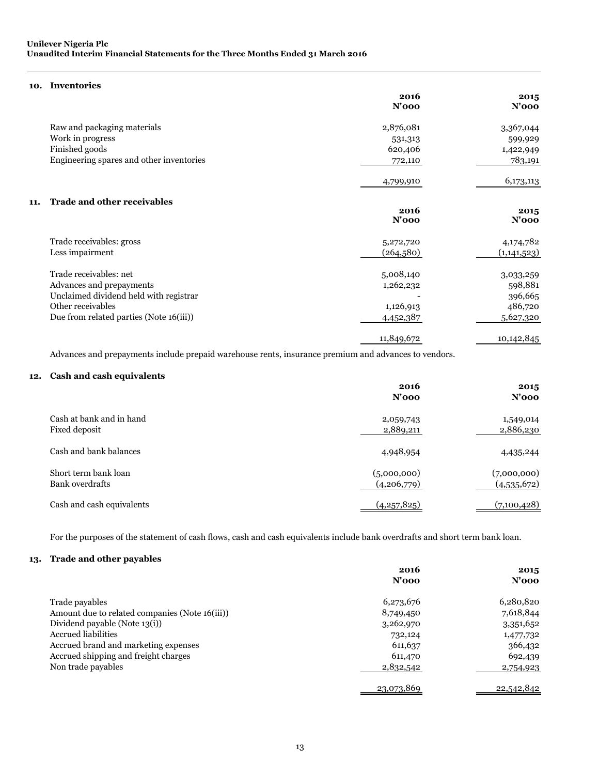### **10. Inventories**

|                                           | 2016<br>$N'$ 000 | 2015<br>$N'$ 000 |
|-------------------------------------------|------------------|------------------|
| Raw and packaging materials               | 2,876,081        | 3,367,044        |
| Work in progress                          | 531,313          | 599,929          |
| Finished goods                            | 620,406          | 1,422,949        |
| Engineering spares and other inventories  | 772,110          | 783,191          |
|                                           | 4,799,910        | 6,173,113        |
| <b>Trade and other receivables</b><br>11. |                  |                  |
|                                           | 2016<br>$N'$ 000 | 2015<br>$N'$ 000 |
| Trade receivables: gross                  | 5,272,720        | 4,174,782        |
| Less impairment                           | (264,580)        | (1,141,523)      |
| Trade receivables: net                    | 5,008,140        | 3,033,259        |
| Advances and prepayments                  | 1,262,232        | 598,881          |
| Unclaimed dividend held with registrar    |                  | 396,665          |
| Other receivables                         | 1,126,913        | 486,720          |
| Due from related parties (Note 16(iii))   | 4,452,387        | 5,627,320        |
|                                           | 11,849,672       | 10,142,845       |

Advances and prepayments include prepaid warehouse rents, insurance premium and advances to vendors.

### **12. Cash and cash equivalents**

|                                                | 2016<br>$N'$ 000           | 2015<br>$N'$ 000           |
|------------------------------------------------|----------------------------|----------------------------|
| Cash at bank and in hand<br>Fixed deposit      | 2,059,743<br>2,889,211     | 1,549,014<br>2,886,230     |
| Cash and bank balances                         | 4,948,954                  | 4,435,244                  |
| Short term bank loan<br><b>Bank</b> overdrafts | (5,000,000)<br>(4,206,779) | (7,000,000)<br>(4,535,672) |
| Cash and cash equivalents                      | (4,257,825)                | (7,100,428)                |

For the purposes of the statement of cash flows, cash and cash equivalents include bank overdrafts and short term bank loan.

### **13. Trade and other payables**

|                                                | 2016<br>$N'$ 000 | 2015<br>$N'$ 000 |
|------------------------------------------------|------------------|------------------|
| Trade payables                                 | 6,273,676        | 6,280,820        |
| Amount due to related companies (Note 16(iii)) | 8,749,450        | 7,618,844        |
| Dividend payable (Note 13(i))                  | 3,262,970        | 3,351,652        |
| <b>Accrued liabilities</b>                     | 732,124          | 1,477,732        |
| Accrued brand and marketing expenses           | 611, 637         | 366,432          |
| Accrued shipping and freight charges           | 611,470          | 692,439          |
| Non trade payables                             | 2,832,542        | 2,754,923        |
|                                                | 23,073,869       | 22,542,842       |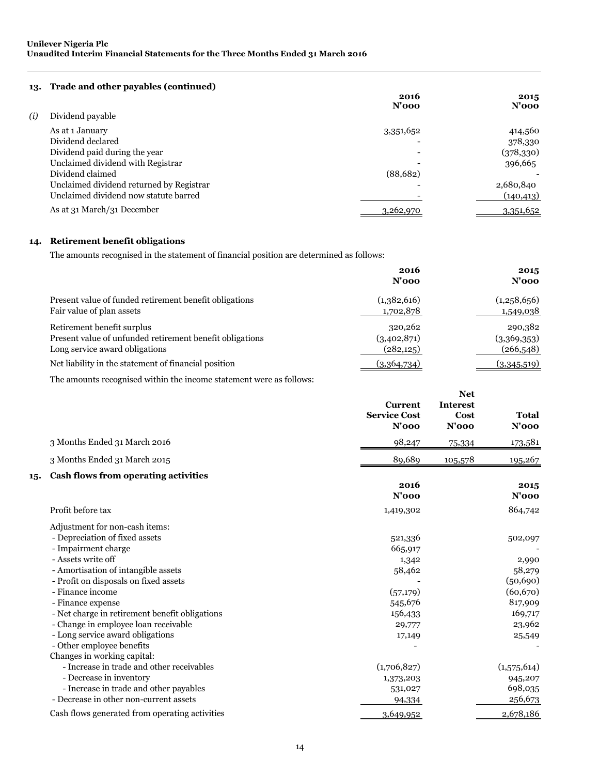### **13. Trade and other payables (continued)**

|     |                                          | 2016<br>$N'$ 000 | 2015<br>$N'$ 000 |
|-----|------------------------------------------|------------------|------------------|
| (i) | Dividend payable                         |                  |                  |
|     | As at 1 January                          | 3,351,652        | 414,560          |
|     | Dividend declared                        |                  | 378,330          |
|     | Dividend paid during the year            |                  | (378,330)        |
|     | Unclaimed dividend with Registrar        |                  | 396,665          |
|     | Dividend claimed                         | (88,682)         |                  |
|     | Unclaimed dividend returned by Registrar |                  | 2,680,840        |
|     | Unclaimed dividend now statute barred    |                  | (140, 413)       |
|     | As at 31 March/31 December               | 3,262,970        | 3,351,652        |

### **14. Retirement benefit obligations**

The amounts recognised in the statement of financial position are determined as follows:

|                                                          | 2016<br>$N'$ 000 | 2015<br>$N'$ 000 |
|----------------------------------------------------------|------------------|------------------|
| Present value of funded retirement benefit obligations   | (1,382,616)      | (1,258,656)      |
| Fair value of plan assets                                | 1,702,878        | 1,549,038        |
| Retirement benefit surplus                               | 320,262          | 290,382          |
| Present value of unfunded retirement benefit obligations | (3,402,871)      | (3,369,353)      |
| Long service award obligations                           | (282, 125)       | (266, 548)       |
| Net liability in the statement of financial position     | (3,364,734)      | (3,345,519)      |

**Net** 

The amounts recognised within the income statement were as follows:

|                                                                                                                                                                                                                                                                                                                                                                                                                                  | <b>Current</b><br><b>Service Cost</b><br>$N'$ 000                                           | <b>Interest</b><br>Cost<br>$N'$ 000 | Total<br>$N'$ 000                                                                              |
|----------------------------------------------------------------------------------------------------------------------------------------------------------------------------------------------------------------------------------------------------------------------------------------------------------------------------------------------------------------------------------------------------------------------------------|---------------------------------------------------------------------------------------------|-------------------------------------|------------------------------------------------------------------------------------------------|
| 3 Months Ended 31 March 2016                                                                                                                                                                                                                                                                                                                                                                                                     | 98,247                                                                                      | 75,334                              | 173,581                                                                                        |
| 3 Months Ended 31 March 2015                                                                                                                                                                                                                                                                                                                                                                                                     | 89,689                                                                                      | 105,578                             | 195,267                                                                                        |
| Cash flows from operating activities<br>15.                                                                                                                                                                                                                                                                                                                                                                                      | 2016<br>$N'$ 000                                                                            |                                     | 2015<br>$N'$ 000                                                                               |
| Profit before tax                                                                                                                                                                                                                                                                                                                                                                                                                | 1,419,302                                                                                   |                                     | 864,742                                                                                        |
| Adjustment for non-cash items:<br>- Depreciation of fixed assets<br>- Impairment charge<br>- Assets write off<br>- Amortisation of intangible assets<br>- Profit on disposals on fixed assets<br>- Finance income<br>- Finance expense<br>- Net charge in retirement benefit obligations<br>- Change in employee loan receivable<br>- Long service award obligations<br>- Other employee benefits<br>Changes in working capital: | 521,336<br>665,917<br>1,342<br>58,462<br>(57,179)<br>545,676<br>156,433<br>29,777<br>17,149 |                                     | 502,097<br>2,990<br>58,279<br>(50, 690)<br>(60, 670)<br>817,909<br>169,717<br>23,962<br>25,549 |
| - Increase in trade and other receivables                                                                                                                                                                                                                                                                                                                                                                                        | (1,706,827)                                                                                 |                                     | (1,575,614)                                                                                    |
| - Decrease in inventory<br>- Increase in trade and other payables<br>- Decrease in other non-current assets                                                                                                                                                                                                                                                                                                                      | 1,373,203<br>531,027<br>94,334                                                              |                                     | 945,207<br>698,035<br>256,673                                                                  |
| Cash flows generated from operating activities                                                                                                                                                                                                                                                                                                                                                                                   | 3,649,952                                                                                   |                                     | 2,678,186                                                                                      |